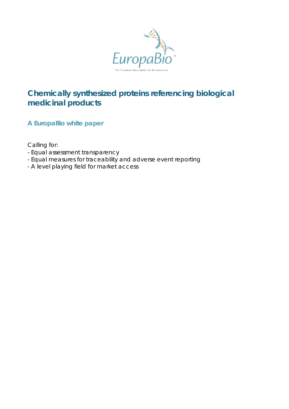

# **Chemically synthesized proteins referencing biological medicinal products**

**A EuropaBio white paper**

Calling for:

- Equal assessment transparency
- Equal measures for traceability and adverse event reporting
- A level playing field for market access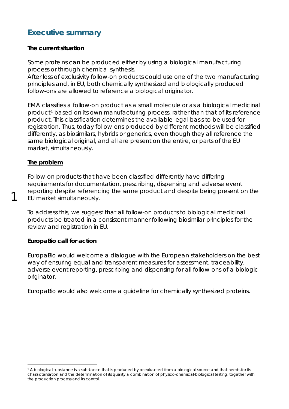# **Executive summary**

#### **The current situation**

Some proteins can be produced either by using a biological manufacturing process or through chemical synthesis.

After loss of exclusivity follow-on products could use one of the two manufacturing principles and, in EU, both chemically synthesized and biologically produced follow-ons are allowed to reference a biological originator.

EMA classifies a follow-on product as a small molecule or as a biological medicinal product<sup>[1](#page-1-0)</sup> based on its own manufacturing process, rather than that of its reference product. This classification determines the available legal basis to be used for registration. Thus, today follow-ons produced by different methods will be classified differently, as biosimilars, hybrids or generics, even though they all reference the same biological original, and all are present on the entire, or parts of the EU market, simultaneously.

## **The problem**

1

Follow-on products that have been classified differently have differing requirements for documentation, prescribing, dispensing and adverse event reporting despite referencing the same product and despite being present on the EU market simultaneously.

To address this, we suggest that all follow-on products to biological medicinal products be treated in a consistent manner following biosimilar principles for the review and registration in EU.

## **EuropaBio call for action**

EuropaBio would welcome a dialogue with the European stakeholders on the best way of ensuring equal and transparent measures for assessment, traceability, adverse event reporting, prescribing and dispensing for all follow-ons of a biologic originator.

EuropaBio would also welcome a guideline for chemically synthesized proteins.

<span id="page-1-0"></span> <sup>1</sup> A biological substance is a substance that is produced by or extracted from a biological source and that needs for its characterisation and the determination of its quality a combination of physico-chemical-biological testing, together with the production process and its control.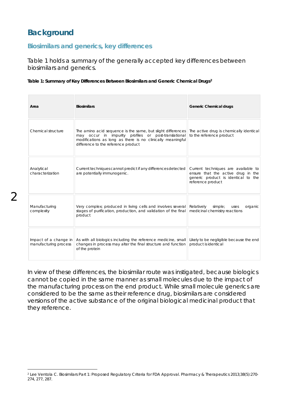# **Background**

#### **Biosimilars and generics, key differences**

Table 1 holds a summary of the generally accepted key differences between biosimilars and generics.

#### **Table 1: Summary of Key Differences Between Biosimilars and Generic Chemical Drugs[2](#page-2-0)**

| Area                                           | <b>Biosimilars</b>                                                                                                                                                                                                       | <b>Generic Chemical drugs</b>                                                                                                         |
|------------------------------------------------|--------------------------------------------------------------------------------------------------------------------------------------------------------------------------------------------------------------------------|---------------------------------------------------------------------------------------------------------------------------------------|
| Chemical structure                             | The amino acid sequence is the same, but slight differences<br>may occur in impurity profiles or post-translational<br>modifications as long as there is no clinically meaningful<br>difference to the reference product | The active drug is chemically identical<br>to the reference product                                                                   |
| Analytical<br>characterization                 | Current techniques cannot predict if any differences detected<br>are potentially immunogenic.                                                                                                                            | Current techniques are available to<br>ensure that the active drug in the<br>generic product is identical to the<br>reference product |
| Manufacturing<br>complexity                    | Very complex; produced in living cells and involves several<br>stages of purification, production, and validation of the final<br>product                                                                                | Relatively<br>simple;<br>organic<br>uses<br>medicinal chemistry reactions                                                             |
| Impact of a change in<br>manufacturing process | As with all biologics including the reference medicine, small<br>changes in process may alter the final structure and function<br>of the protein                                                                         | Likely to be negligible because the end<br>product is identical                                                                       |

In view of these differences, the biosimilar route was instigated, because biologics cannot be copied in the same manner as small molecules due to the impact of the manufacturing process on the end product. While small molecule generics are considered to be the same as their reference drug, biosimilars are considered versions of the active substance of the original biological medicinal product that they reference.

<span id="page-2-0"></span> <sup>2</sup> Lee Ventola C. Biosimilars Part 1: Proposed Regulatory Criteria for FDA Approval. Pharmacy & Therapeutics 2013;38(5):270- 274, 277, 287.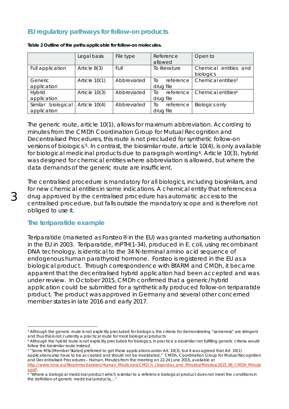# **EU regulatory pathways for follow-on products**

|                                   | Legal basis     | File type   | Reference<br>allowed         | Open to                            |
|-----------------------------------|-----------------|-------------|------------------------------|------------------------------------|
| Full application                  | Article $8(3)$  | Full        | To literature                | Chemical entities and<br>biologics |
| Generic<br>application            | Article 10(1)   | Abbreviated | reference<br>Tο<br>drug file | Chemical entities <sup>3</sup>     |
| <b>Hybrid</b><br>application      | Article 10(3)   | Abbreviated | reference<br>Τo<br>drug file | Chemical entities <sup>4</sup>     |
| Similar biological<br>application | Article $10(4)$ | Abbreviated | reference<br>TΟ<br>drug file | <b>Biologics only</b>              |

**Table 2 Outline of the paths applicable for follow-on molecules.** 

The generic route, article 10(1), allows for maximum abbreviation. According to minutes from the CMDh Coordination Group for Mutual Recognition and Decentralised Procedures, this route is not precluded for synthetic follow-on versions of biologics.[5.](#page-3-2) In contrast, the biosimilar route, article 10(4), is only available for biological medicinal products due to paragraph wording<sup>[6](#page-3-3)</sup>. Article 10(3), hybrid was designed for chemical entities where abbreviation is allowed, but where the data demands of the generic route are insufficient.

The centralised procedure is mandatory for all biologics, including biosimilars, and for new chemical entities in some indications. A chemical entity that references a drug approved by the centralised procedure has automatic access to the centralised procedure, but falls outside the mandatory scope and is therefore not obliged to use it.

#### **The teriparatide example**

Teriparatide (marketed as Forsteo® in the EU) was granted marketing authorisation in the EU in 2003. Teriparatide, rhPTH(1-34), produced in *E. coli*, using recombinant DNA technology, is identical to the 34 N-terminal amino acid sequence of endogenous human parathyroid hormone. Forsteo is registered in the EU as a biological product. Through correspondence with BfARM and CMDh, it became apparent that the decentralised hybrid application had been accepted and was under review. In October 2015, CMDh confirmed that a generic/hybrid application could be submitted for a synthetically produced follow-on teriparatide product. The product was approved in Germany and several other concerned member states in late 2016 and early 2017.

<span id="page-3-0"></span><sup>&</sup>lt;sup>3</sup> Although the generic route is not explicitly precluded for biologics, the criteria for demonstrating "sameness" are stringent and thus this is not currently a practical route for most biological products.

<span id="page-3-1"></span><sup>4</sup> Although the hybrid route is not explicitly precluded for biologics, in practice a biosimilar not fulfilling generic criteria would follow the biosimilar route instead.

<span id="page-3-2"></span><sup>5</sup> "Some MSs [Member States] preferred to get these applications under Art. 10(3), but it was agreed that Art. 10(1) applications also have to be accepted and should not be invalidated." CMDh, Coordination Group for Mutual Recognition and Decentralised Procedures – Human, Minutes from the meeting on 22-24 June 2015, *available at* [http://www.hma.eu/fileadmin/dateien/Human\\_Medicines/CMD\\_h\\_/Agendas\\_and\\_Minutes/Minutes/2015\\_06\\_CMDh\\_Minute](http://www.hma.eu/fileadmin/dateien/Human_Medicines/CMD_h_/Agendas_and_Minutes/Minutes/2015_06_CMDh_Minutes.pdf)

<span id="page-3-3"></span>s.pdf.<br>6 "Where a biological medicinal product which is similar to a reference biological product does not meet the conditions in *the definition of generic medicinal products,*…"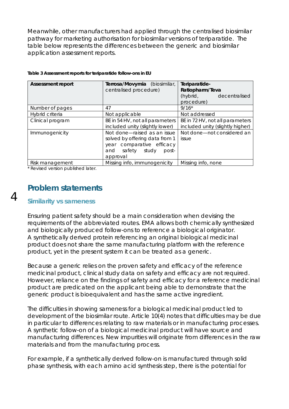Meanwhile, other manufacturers had applied through the centralised biosimilar pathway for marketing authorisation for biosimilar versions of teriparatide. The table below represents the differences between the generic and biosimilar application assessment reports.

| <b>Assessment report</b> | Terrosa/Movymia (biosimilar,<br>centralised procedure)                                                                              | Teriparatide-<br>Ratiopharm/Teva<br>(hybrid, decentralised<br>procedure) |  |  |
|--------------------------|-------------------------------------------------------------------------------------------------------------------------------------|--------------------------------------------------------------------------|--|--|
| Number of pages          | 47                                                                                                                                  | $9/16*$                                                                  |  |  |
| Hybrid criteria          | Not applicable                                                                                                                      | Not addressed                                                            |  |  |
| Clinical program         | BE in 54 HV, not all parameters<br>included unity (slightly lower)                                                                  | BE in 72 HV, not all parameters<br>included unity (slightly higher)      |  |  |
| Immunogenicity           | Not done-raised as an issue<br>solved by offering data from 1<br>year comparative efficacy<br>safety study post-<br>and<br>approval | Not done-not considered an<br>issue                                      |  |  |
| Risk management          | Missing info, immunogenicity                                                                                                        | Missing info, none                                                       |  |  |

|  |  |  |  |  |  | Table 3 Assessment reports for teriparatide follow-ons in EU |  |  |  |
|--|--|--|--|--|--|--------------------------------------------------------------|--|--|--|
|--|--|--|--|--|--|--------------------------------------------------------------|--|--|--|

\* Revised version published later.

# **Similarity vs sameness**

**Problem statements**

Ensuring patient safety should be a main consideration when devising the requirements of the abbreviated routes. EMA allows both chemically synthesized and biologically produced follow-ons to reference a biological originator. A synthetically derived protein referencing an original biological medicinal product does not share the same manufacturing platform with the reference product, yet in the present system it can be treated as a generic.

Because a generic relies on the proven safety and efficacy of the reference medicinal product, clinical study data on safety and efficacy are not required. However, reliance on the findings of safety and efficacy for a reference medicinal product are predicated on the applicant being able to demonstrate that the generic product is bioequivalent and has the same active ingredient.

The difficulties in showing sameness for a biological medicinal product led to development of the biosimilar route. Article 10(4) notes that difficulties may be due in particular to differences relating to raw materials or in manufacturing processes. A synthetic follow-on of a biological medicinal product will have source and manufacturing differences. New impurities will originate from differences in the raw materials and from the manufacturing process.

For example, if a synthetically derived follow-on is manufactured through solid phase synthesis, with each amino acid synthesis step, there is the potential for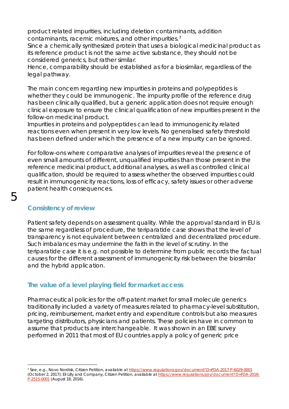product related impurities, including deletion contaminants, addition contaminants, racemic mixtures, and other impurities.[7](#page-5-0)

Since a chemically synthesized protein that uses a biological medicinal product as its reference product is not the same active substance, they should not be considered generics, but rather similar.

Hence, comparability should be established as for a biosimilar, regardless of the legal pathway.

The main concern regarding new impurities in proteins and polypeptides is whether they could be immunogenic. The impurity profile of the reference drug has been clinically qualified, but a generic application does not require enough clinical exposure to ensure the clinical qualification of new impurities present in the follow-on medicinal product.

Impurities in proteins and polypeptides can lead to immunogenicity related reactions even when present in very low levels. No generalised safety threshold has been defined under which the presence of a new impurity can be ignored.

For follow-ons where comparative analyses of impurities reveal the presence of even small amounts of different, unqualified impurities than those present in the reference medicinal product, additional analyses, as well as controlled clinical qualification, should be required to assess whether the observed impurities could result in immunogenicity reactions, loss of efficacy, safety issues or other adverse patient health consequences.

# **Consistency of review**

Patient safety depends on assessment quality. While the approval standard in EU is the same regardless of procedure, the teriparatide case shows that the level of transparency is not equivalent between centralized and decentralized procedure. Such imbalances may undermine the faith in the level of scrutiny. In the teriparatide case it is e.g. not possible to determine from public records the factual causes for the different assessment of immunogenicity risk between the biosimilar and the hybrid application.

## **The value of a level playing field for market access**

Pharmaceutical policies for the off-patent market for small molecule generics traditionally included a variety of measures related to pharmacy-level substitution, pricing, reimbursement, market entry and expenditure controls but also measures targeting distributors, physicians and patients. These policies have in common to assume that products are interchangeable. It was shown in an EBE survey performed in 2011 that most of EU countries apply a policy of generic price

<span id="page-5-0"></span> <sup>7</sup> See, e.g., Novo Nordisk, Citizen Petition, *available at* <https://www.regulations.gov/document?D=FDA-2017-P-6029-0001> (October 2, 2017); Eli Lilly and Company, Citizen Petition, *available at* [https://www.regulations.gov/document?D=FDA-2016-](https://www.regulations.gov/document?D=FDA-2016-P-2515-0001) [P-2515-0001](https://www.regulations.gov/document?D=FDA-2016-P-2515-0001) (August 18, 2016).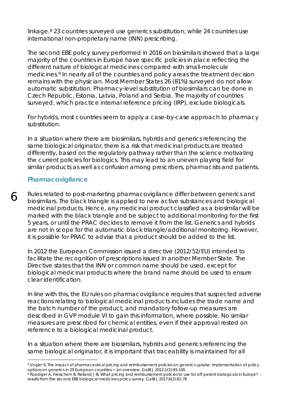linkage.[8](#page-6-0) 23 countries surveyed use generics substitution; while 24 countries use international non-proprietary name (INN) prescribing.

The second EBE policy survey performed in 2016 on biosimilars showed that a large majority of the countries in Europe have specific policies in place reflecting the different nature of biological medicines compared with small-molecule medicines.<sup>[9](#page-6-1)</sup> In nearly all of the countries and policy areas the treatment decision remains with the physician. Most Member States 26 (81%) surveyed do not allow automatic substitution. Pharmacy-level substitution of biosimilars can be done in Czech Republic, Estonia, Latvia, Poland and Serbia. The majority of countries surveyed, which practice internal reference pricing (IRP), exclude biologicals.

For hybrids, most countries seem to apply a case-by-case approach to pharmacy substitution.

In a situation where there are biosimilars, hybrids and generics referencing the same biological originator, there is a risk that medicinal products are treated differently, based on the regulatory pathway rather than the science motivating the current policies for biologics. This may lead to an uneven playing field for similar products as well as confusion among prescribers, pharmacists and patients.

## **Pharmacovigilance**

6

Rules related to post-marketing pharmacovigilance differ between generics and biosimilars. The black triangle is applied to new active substances and biological medicinal products. Hence, any medicinal product classified as a biosimilar will be marked with the black triangle and be subject to additional monitoring for the first 5 years, or until the PRAC decides to remove it from the list. Generics and hybrids are not in scope for the automatic black triangle/additional monitoring. However, it is possible for PRAC to advise that a product should be added to the list.

In 2012 the European Commission issued a directive (2012/52/EU) intended to facilitate the recognition of prescriptions issued in another Member State. The Directive states that the INN or common name should be used, except for biological medicinal products where the brand name should be used to ensure clear identification.

In line with this, the EU rules on pharmacovigilance requires that suspected adverse reactions relating to biological medicinal products includes the trade name and the batch number of the product, and mandatory follow-up measures are described in GVP module VI to gain this information, where possible. No similar measures are prescribed for chemical entities, even if their approval rested on reference to a biological medicinal product.

In a situation where there are biosimilars, hybrids and generics referencing the same biological originator, it is important that traceability is maintained for all

<span id="page-6-0"></span><sup>&</sup>lt;sup>8</sup> Vogler S. The impact of pharmaceutical pricing and reimbursement policies on generics uptake: implementation of policy options on generics in 29 European countries — an overview. GaBI J 2012;1(2):93-100.

<span id="page-6-1"></span><sup>9</sup> Roediger A, Freischem B, Reiland J-B*.* What pricing and reimbursement policies to use for off-patent biologicals in Europe? – results from the second EBE biological medicines policy survey. GaBI J 2017;6(2):61-78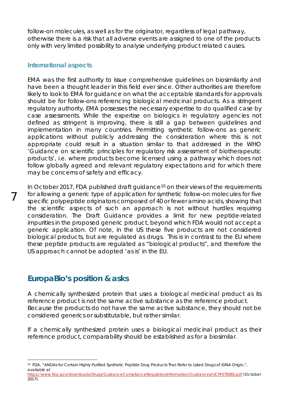follow-on molecules, as well as for the originator, regardless of legal pathway, otherwise there is a risk that all adverse events are assigned to one of the products only with very limited possibility to analyse underlying product related causes.

#### **International aspects**

7

EMA was the first authority to issue comprehensive guidelines on biosimilarity and have been a thought leader in this field ever since. Other authorities are therefore likely to look to EMA for guidance on what the acceptable standards for approvals should be for follow-ons referencing biological medicinal products. As a stringent regulatory authority, EMA possesses the necessary expertise to do qualified case by case assessments. While the expertise on biologics in regulatory agencies not defined as stringent is improving, there is still a gap between guidelines and implementation in many countries. Permitting synthetic follow-ons as generic applications without publicly addressing the consideration where this is not appropriate could result in a situation similar to that addressed in the WHO 'Guidance on scientific principles for regulatory risk assessment of biotherapeutic products', i.e. where products become licensed using a pathway which does not follow globally agreed and relevant regulatory expectations and for which there may be concerns of safety and efficacy.

In October 2017, FDA published draft guidance<sup>[10](#page-7-0)</sup> on their views of the requirements for allowing a generic type of application for synthetic follow-on molecules for five specific polypeptide originators composed of 40 or fewer amino acids, showing that the scientific aspects of such an approach is not without hurdles requiring consideration. The Draft Guidance provides a limit for new peptide-related impurities in the proposed generic product, beyond which FDA would not accept a generic application. Of note, in the US these five products are not considered biological products, but are regulated as drugs. This is in contrast to the EU where these peptide products are regulated as "biological products", and therefore the US approach cannot be adopted 'as is' in the EU.

# **EuropaBio's position & asks**

A chemically synthesized protein that uses a biological medicinal product as its reference product is not the same active substance as the reference product. Because the products do not have the same active substance, they should not be considered generics or substitutable, but rather similar.

If a chemically synthesized protein uses a biological medicinal product as their reference product, comparability should be established as for a biosimilar.

<span id="page-7-0"></span> <sup>10</sup> FDA, "ANDAs for Certain Highly Purified Synthetic Peptide Drug Products That Refer to Listed Drugs of rDNA Origin,", *available at*

<https://www.fda.gov/downloads/Drugs/GuidanceComplianceRegulatoryInformation/Guidances/UCM578365.pdf> (October 2017).